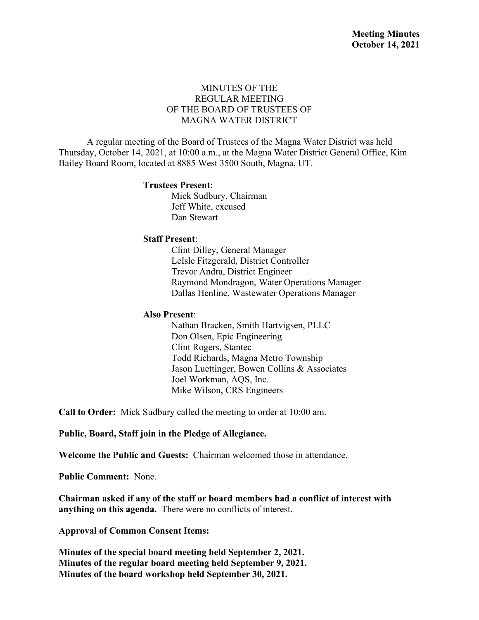## MINUTES OF THE REGULAR MEETING OF THE BOARD OF TRUSTEES OF MAGNA WATER DISTRICT

A regular meeting of the Board of Trustees of the Magna Water District was held Thursday, October 14, 2021, at 10:00 a.m., at the Magna Water District General Office, Kim Bailey Board Room, located at 8885 West 3500 South, Magna, UT.

#### **Trustees Present**:

Mick Sudbury, Chairman Jeff White, excused Dan Stewart

#### **Staff Present**:

Clint Dilley, General Manager LeIsle Fitzgerald, District Controller Trevor Andra, District Engineer Raymond Mondragon, Water Operations Manager Dallas Henline, Wastewater Operations Manager

#### **Also Present**:

Nathan Bracken, Smith Hartvigsen, PLLC Don Olsen, Epic Engineering Clint Rogers, Stantec Todd Richards, Magna Metro Township Jason Luettinger, Bowen Collins & Associates Joel Workman, AQS, Inc. Mike Wilson, CRS Engineers

**Call to Order:** Mick Sudbury called the meeting to order at 10:00 am.

**Public, Board, Staff join in the Pledge of Allegiance.**

**Welcome the Public and Guests:** Chairman welcomed those in attendance.

**Public Comment:** None.

**Chairman asked if any of the staff or board members had a conflict of interest with anything on this agenda.** There were no conflicts of interest.

**Approval of Common Consent Items:**

**Minutes of the special board meeting held September 2, 2021. Minutes of the regular board meeting held September 9, 2021. Minutes of the board workshop held September 30, 2021.**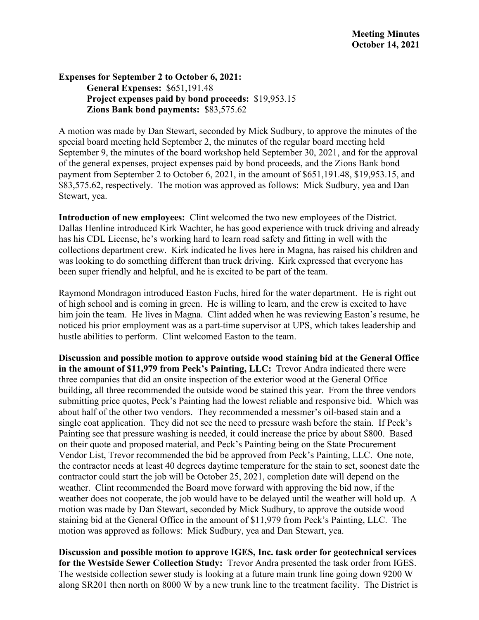## **Expenses for September 2 to October 6, 2021: General Expenses:** \$651,191.48 **Project expenses paid by bond proceeds:** \$19,953.15 **Zions Bank bond payments:** \$83,575.62

A motion was made by Dan Stewart, seconded by Mick Sudbury, to approve the minutes of the special board meeting held September 2, the minutes of the regular board meeting held September 9, the minutes of the board workshop held September 30, 2021, and for the approval of the general expenses, project expenses paid by bond proceeds, and the Zions Bank bond payment from September 2 to October 6, 2021, in the amount of \$651,191.48, \$19,953.15, and \$83,575.62, respectively. The motion was approved as follows: Mick Sudbury, yea and Dan Stewart, yea.

**Introduction of new employees:** Clint welcomed the two new employees of the District. Dallas Henline introduced Kirk Wachter, he has good experience with truck driving and already has his CDL License, he's working hard to learn road safety and fitting in well with the collections department crew. Kirk indicated he lives here in Magna, has raised his children and was looking to do something different than truck driving. Kirk expressed that everyone has been super friendly and helpful, and he is excited to be part of the team.

Raymond Mondragon introduced Easton Fuchs, hired for the water department. He is right out of high school and is coming in green. He is willing to learn, and the crew is excited to have him join the team. He lives in Magna. Clint added when he was reviewing Easton's resume, he noticed his prior employment was as a part-time supervisor at UPS, which takes leadership and hustle abilities to perform. Clint welcomed Easton to the team.

**Discussion and possible motion to approve outside wood staining bid at the General Office in the amount of \$11,979 from Peck's Painting, LLC:** Trevor Andra indicated there were three companies that did an onsite inspection of the exterior wood at the General Office building, all three recommended the outside wood be stained this year. From the three vendors submitting price quotes, Peck's Painting had the lowest reliable and responsive bid. Which was about half of the other two vendors. They recommended a messmer's oil-based stain and a single coat application. They did not see the need to pressure wash before the stain. If Peck's Painting see that pressure washing is needed, it could increase the price by about \$800. Based on their quote and proposed material, and Peck's Painting being on the State Procurement Vendor List, Trevor recommended the bid be approved from Peck's Painting, LLC. One note, the contractor needs at least 40 degrees daytime temperature for the stain to set, soonest date the contractor could start the job will be October 25, 2021, completion date will depend on the weather. Clint recommended the Board move forward with approving the bid now, if the weather does not cooperate, the job would have to be delayed until the weather will hold up. A motion was made by Dan Stewart, seconded by Mick Sudbury, to approve the outside wood staining bid at the General Office in the amount of \$11,979 from Peck's Painting, LLC. The motion was approved as follows: Mick Sudbury, yea and Dan Stewart, yea.

**Discussion and possible motion to approve IGES, Inc. task order for geotechnical services for the Westside Sewer Collection Study:** Trevor Andra presented the task order from IGES. The westside collection sewer study is looking at a future main trunk line going down 9200 W along SR201 then north on 8000 W by a new trunk line to the treatment facility. The District is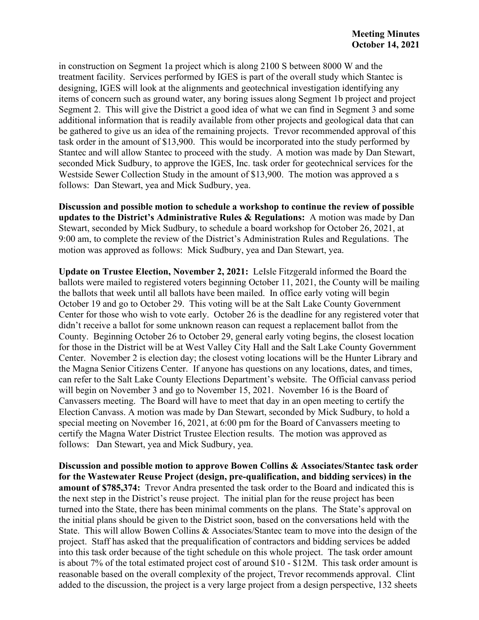in construction on Segment 1a project which is along 2100 S between 8000 W and the treatment facility. Services performed by IGES is part of the overall study which Stantec is designing, IGES will look at the alignments and geotechnical investigation identifying any items of concern such as ground water, any boring issues along Segment 1b project and project Segment 2. This will give the District a good idea of what we can find in Segment 3 and some additional information that is readily available from other projects and geological data that can be gathered to give us an idea of the remaining projects. Trevor recommended approval of this task order in the amount of \$13,900. This would be incorporated into the study performed by Stantec and will allow Stantec to proceed with the study. A motion was made by Dan Stewart, seconded Mick Sudbury, to approve the IGES, Inc. task order for geotechnical services for the Westside Sewer Collection Study in the amount of \$13,900. The motion was approved a s follows: Dan Stewart, yea and Mick Sudbury, yea.

**Discussion and possible motion to schedule a workshop to continue the review of possible updates to the District's Administrative Rules & Regulations:** A motion was made by Dan Stewart, seconded by Mick Sudbury, to schedule a board workshop for October 26, 2021, at 9:00 am, to complete the review of the District's Administration Rules and Regulations. The motion was approved as follows: Mick Sudbury, yea and Dan Stewart, yea.

**Update on Trustee Election, November 2, 2021:** LeIsle Fitzgerald informed the Board the ballots were mailed to registered voters beginning October 11, 2021, the County will be mailing the ballots that week until all ballots have been mailed. In office early voting will begin October 19 and go to October 29. This voting will be at the Salt Lake County Government Center for those who wish to vote early. October 26 is the deadline for any registered voter that didn't receive a ballot for some unknown reason can request a replacement ballot from the County. Beginning October 26 to October 29, general early voting begins, the closest location for those in the District will be at West Valley City Hall and the Salt Lake County Government Center. November 2 is election day; the closest voting locations will be the Hunter Library and the Magna Senior Citizens Center. If anyone has questions on any locations, dates, and times, can refer to the Salt Lake County Elections Department's website. The Official canvass period will begin on November 3 and go to November 15, 2021. November 16 is the Board of Canvassers meeting. The Board will have to meet that day in an open meeting to certify the Election Canvass. A motion was made by Dan Stewart, seconded by Mick Sudbury, to hold a special meeting on November 16, 2021, at 6:00 pm for the Board of Canvassers meeting to certify the Magna Water District Trustee Election results. The motion was approved as follows: Dan Stewart, yea and Mick Sudbury, yea.

**Discussion and possible motion to approve Bowen Collins & Associates/Stantec task order for the Wastewater Reuse Project (design, pre-qualification, and bidding services) in the amount of \$785,374:** Trevor Andra presented the task order to the Board and indicated this is the next step in the District's reuse project. The initial plan for the reuse project has been turned into the State, there has been minimal comments on the plans. The State's approval on the initial plans should be given to the District soon, based on the conversations held with the State. This will allow Bowen Collins & Associates/Stantec team to move into the design of the project. Staff has asked that the prequalification of contractors and bidding services be added into this task order because of the tight schedule on this whole project. The task order amount is about 7% of the total estimated project cost of around \$10 - \$12M. This task order amount is reasonable based on the overall complexity of the project, Trevor recommends approval. Clint added to the discussion, the project is a very large project from a design perspective, 132 sheets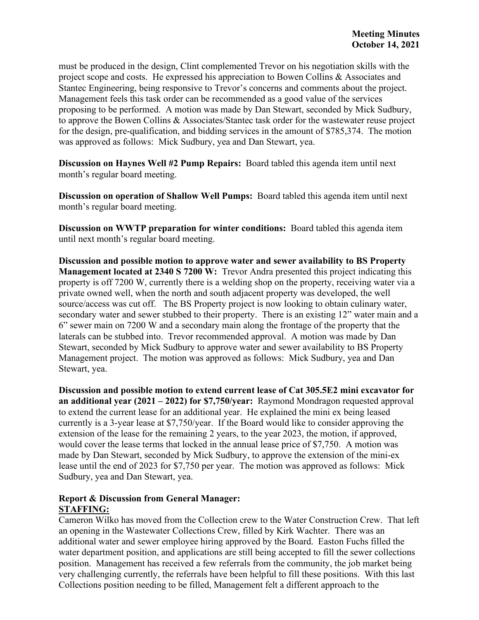must be produced in the design, Clint complemented Trevor on his negotiation skills with the project scope and costs. He expressed his appreciation to Bowen Collins & Associates and Stantec Engineering, being responsive to Trevor's concerns and comments about the project. Management feels this task order can be recommended as a good value of the services proposing to be performed. A motion was made by Dan Stewart, seconded by Mick Sudbury, to approve the Bowen Collins & Associates/Stantec task order for the wastewater reuse project for the design, pre-qualification, and bidding services in the amount of \$785,374. The motion was approved as follows: Mick Sudbury, yea and Dan Stewart, yea.

**Discussion on Haynes Well #2 Pump Repairs:** Board tabled this agenda item until next month's regular board meeting.

**Discussion on operation of Shallow Well Pumps:** Board tabled this agenda item until next month's regular board meeting.

**Discussion on WWTP preparation for winter conditions:** Board tabled this agenda item until next month's regular board meeting.

**Discussion and possible motion to approve water and sewer availability to BS Property Management located at 2340 S 7200 W:** Trevor Andra presented this project indicating this property is off 7200 W, currently there is a welding shop on the property, receiving water via a private owned well, when the north and south adjacent property was developed, the well source/access was cut off. The BS Property project is now looking to obtain culinary water, secondary water and sewer stubbed to their property. There is an existing 12" water main and a 6" sewer main on 7200 W and a secondary main along the frontage of the property that the laterals can be stubbed into. Trevor recommended approval. A motion was made by Dan Stewart, seconded by Mick Sudbury to approve water and sewer availability to BS Property Management project. The motion was approved as follows: Mick Sudbury, yea and Dan Stewart, yea.

**Discussion and possible motion to extend current lease of Cat 305.5E2 mini excavator for an additional year (2021 – 2022) for \$7,750/year:** Raymond Mondragon requested approval to extend the current lease for an additional year. He explained the mini ex being leased currently is a 3-year lease at \$7,750/year. If the Board would like to consider approving the extension of the lease for the remaining 2 years, to the year 2023, the motion, if approved, would cover the lease terms that locked in the annual lease price of \$7,750. A motion was made by Dan Stewart, seconded by Mick Sudbury, to approve the extension of the mini-ex lease until the end of 2023 for \$7,750 per year. The motion was approved as follows: Mick Sudbury, yea and Dan Stewart, yea.

## **Report & Discussion from General Manager: STAFFING:**

Cameron Wilko has moved from the Collection crew to the Water Construction Crew. That left an opening in the Wastewater Collections Crew, filled by Kirk Wachter. There was an additional water and sewer employee hiring approved by the Board. Easton Fuchs filled the water department position, and applications are still being accepted to fill the sewer collections position. Management has received a few referrals from the community, the job market being very challenging currently, the referrals have been helpful to fill these positions. With this last Collections position needing to be filled, Management felt a different approach to the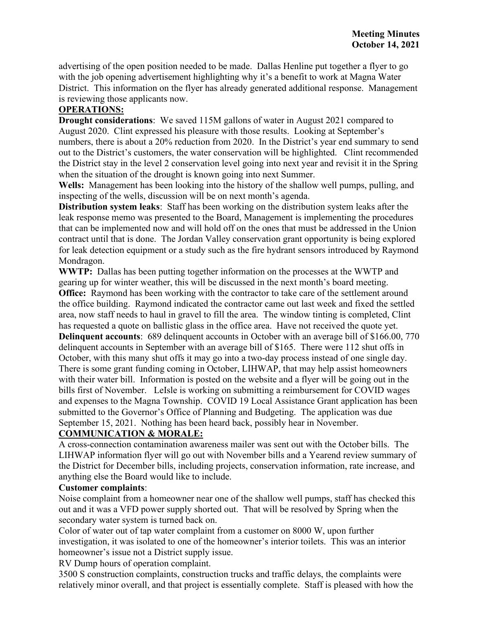advertising of the open position needed to be made. Dallas Henline put together a flyer to go with the job opening advertisement highlighting why it's a benefit to work at Magna Water District. This information on the flyer has already generated additional response. Management is reviewing those applicants now.

# **OPERATIONS:**

**Drought considerations**: We saved 115M gallons of water in August 2021 compared to August 2020. Clint expressed his pleasure with those results. Looking at September's numbers, there is about a 20% reduction from 2020. In the District's year end summary to send out to the District's customers, the water conservation will be highlighted. Clint recommended the District stay in the level 2 conservation level going into next year and revisit it in the Spring when the situation of the drought is known going into next Summer.

**Wells:** Management has been looking into the history of the shallow well pumps, pulling, and inspecting of the wells, discussion will be on next month's agenda.

**Distribution system leaks**: Staff has been working on the distribution system leaks after the leak response memo was presented to the Board, Management is implementing the procedures that can be implemented now and will hold off on the ones that must be addressed in the Union contract until that is done. The Jordan Valley conservation grant opportunity is being explored for leak detection equipment or a study such as the fire hydrant sensors introduced by Raymond Mondragon.

**WWTP:** Dallas has been putting together information on the processes at the WWTP and gearing up for winter weather, this will be discussed in the next month's board meeting. **Office:** Raymond has been working with the contractor to take care of the settlement around the office building. Raymond indicated the contractor came out last week and fixed the settled area, now staff needs to haul in gravel to fill the area. The window tinting is completed, Clint has requested a quote on ballistic glass in the office area. Have not received the quote yet. **Delinquent accounts**: 689 delinquent accounts in October with an average bill of \$166.00, 770 delinquent accounts in September with an average bill of \$165. There were 112 shut offs in October, with this many shut offs it may go into a two-day process instead of one single day. There is some grant funding coming in October, LIHWAP, that may help assist homeowners with their water bill. Information is posted on the website and a flyer will be going out in the bills first of November. LeIsle is working on submitting a reimbursement for COVID wages and expenses to the Magna Township. COVID 19 Local Assistance Grant application has been submitted to the Governor's Office of Planning and Budgeting. The application was due September 15, 2021. Nothing has been heard back, possibly hear in November.

# **COMMUNICATION & MORALE:**

A cross-connection contamination awareness mailer was sent out with the October bills. The LIHWAP information flyer will go out with November bills and a Yearend review summary of the District for December bills, including projects, conservation information, rate increase, and anything else the Board would like to include.

# **Customer complaints**:

Noise complaint from a homeowner near one of the shallow well pumps, staff has checked this out and it was a VFD power supply shorted out. That will be resolved by Spring when the secondary water system is turned back on.

Color of water out of tap water complaint from a customer on 8000 W, upon further investigation, it was isolated to one of the homeowner's interior toilets. This was an interior homeowner's issue not a District supply issue.

RV Dump hours of operation complaint.

3500 S construction complaints, construction trucks and traffic delays, the complaints were relatively minor overall, and that project is essentially complete. Staff is pleased with how the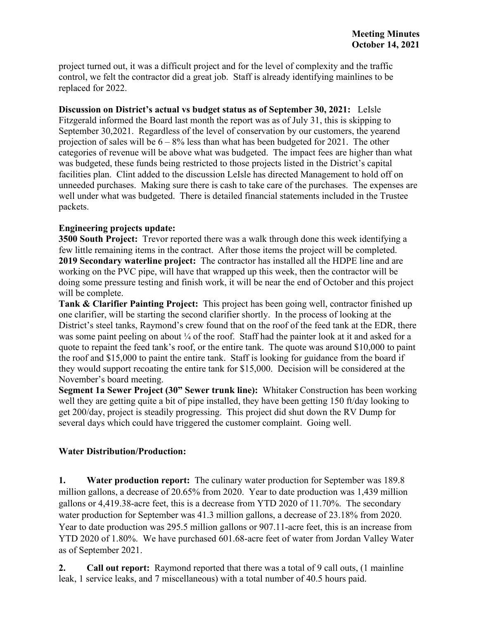project turned out, it was a difficult project and for the level of complexity and the traffic control, we felt the contractor did a great job. Staff is already identifying mainlines to be replaced for 2022.

**Discussion on District's actual vs budget status as of September 30, 2021:** LeIsle Fitzgerald informed the Board last month the report was as of July 31, this is skipping to September 30,2021. Regardless of the level of conservation by our customers, the yearend projection of sales will be  $6 - 8\%$  less than what has been budgeted for 2021. The other categories of revenue will be above what was budgeted. The impact fees are higher than what was budgeted, these funds being restricted to those projects listed in the District's capital facilities plan. Clint added to the discussion LeIsle has directed Management to hold off on unneeded purchases. Making sure there is cash to take care of the purchases. The expenses are well under what was budgeted. There is detailed financial statements included in the Trustee packets.

# **Engineering projects update:**

**3500 South Project:** Trevor reported there was a walk through done this week identifying a few little remaining items in the contract. After those items the project will be completed. **2019 Secondary waterline project:** The contractor has installed all the HDPE line and are working on the PVC pipe, will have that wrapped up this week, then the contractor will be doing some pressure testing and finish work, it will be near the end of October and this project will be complete.

**Tank & Clarifier Painting Project:** This project has been going well, contractor finished up one clarifier, will be starting the second clarifier shortly. In the process of looking at the District's steel tanks, Raymond's crew found that on the roof of the feed tank at the EDR, there was some paint peeling on about ¼ of the roof. Staff had the painter look at it and asked for a quote to repaint the feed tank's roof, or the entire tank. The quote was around \$10,000 to paint the roof and \$15,000 to paint the entire tank. Staff is looking for guidance from the board if they would support recoating the entire tank for \$15,000. Decision will be considered at the November's board meeting.

**Segment 1a Sewer Project (30" Sewer trunk line):** Whitaker Construction has been working well they are getting quite a bit of pipe installed, they have been getting 150 ft/day looking to get 200/day, project is steadily progressing. This project did shut down the RV Dump for several days which could have triggered the customer complaint. Going well.

### **Water Distribution/Production:**

**1. Water production report:** The culinary water production for September was 189.8 million gallons, a decrease of 20.65% from 2020. Year to date production was 1,439 million gallons or 4,419.38-acre feet, this is a decrease from YTD 2020 of 11.70%. The secondary water production for September was 41.3 million gallons, a decrease of 23.18% from 2020. Year to date production was 295.5 million gallons or 907.11-acre feet, this is an increase from YTD 2020 of 1.80%. We have purchased 601.68-acre feet of water from Jordan Valley Water as of September 2021.

**2. Call out report:** Raymond reported that there was a total of 9 call outs, (1 mainline leak, 1 service leaks, and 7 miscellaneous) with a total number of 40.5 hours paid.